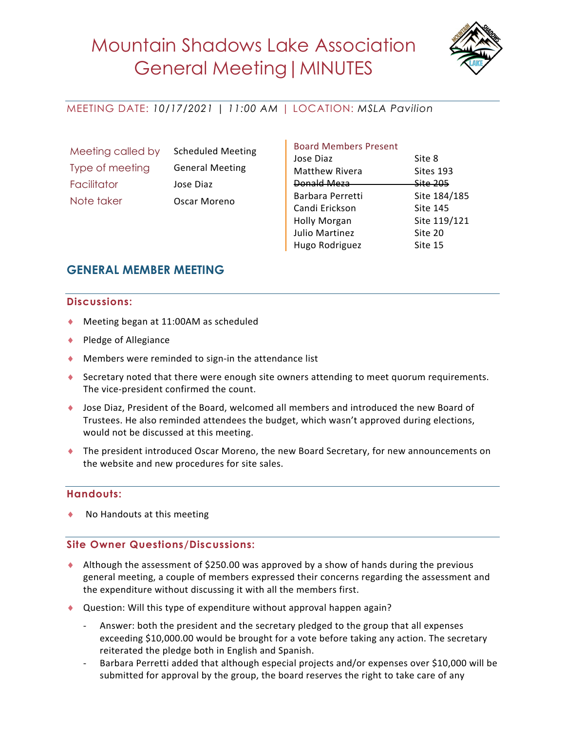

## MEETING DATE: *10/17/2021 | 11:00 AM* | LOCATION: *MSLA Pavilion*

| Meeting called by |
|-------------------|
| Type of meeting   |
| Facilitator       |
| Note taker        |

Scheduled Meeting General Meeting Jose Diaz Oscar Moreno

#### Board Members Present

| Jose Diaz             | Site 8          |
|-----------------------|-----------------|
| <b>Matthew Rivera</b> | Sites 193       |
| <b>Donald Meza</b>    | Site 205        |
| Barbara Perretti      | Site 184/185    |
| Candi Erickson        | <b>Site 145</b> |
| <b>Holly Morgan</b>   | Site 119/121    |
| <b>Julio Martinez</b> | Site 20         |
| Hugo Rodriguez        | Site 15         |
|                       |                 |

# **GENERAL MEMBER MEETING**

#### **Discussions:**

- ◆ Meeting began at 11:00AM as scheduled
- $\bullet$  Pledge of Allegiance
- $\blacklozenge$  Members were reminded to sign-in the attendance list
- ♦ Secretary noted that there were enough site owners attending to meet quorum requirements. The vice-president confirmed the count.
- ◆ Jose Diaz, President of the Board, welcomed all members and introduced the new Board of Trustees. He also reminded attendees the budget, which wasn't approved during elections, would not be discussed at this meeting.
- ◆ The president introduced Oscar Moreno, the new Board Secretary, for new announcements on the website and new procedures for site sales.

### **Handouts:**

No Handouts at this meeting

### **Site Owner Questions/Discussions:**

- $\triangle$  Although the assessment of \$250.00 was approved by a show of hands during the previous general meeting, a couple of members expressed their concerns regarding the assessment and the expenditure without discussing it with all the members first.
- ◆ Question: Will this type of expenditure without approval happen again?
	- Answer: both the president and the secretary pledged to the group that all expenses exceeding \$10,000.00 would be brought for a vote before taking any action. The secretary reiterated the pledge both in English and Spanish.
	- Barbara Perretti added that although especial projects and/or expenses over \$10,000 will be submitted for approval by the group, the board reserves the right to take care of any